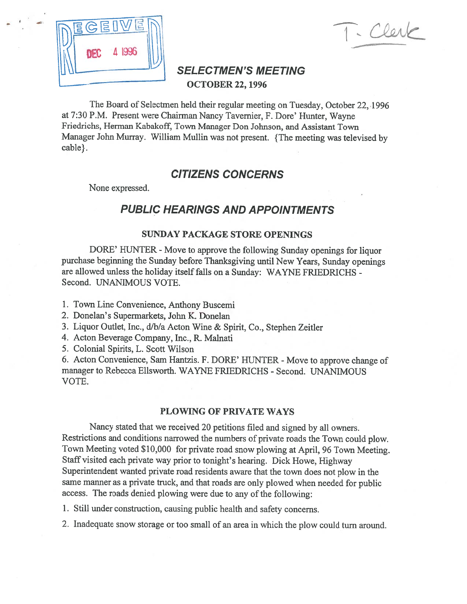

 $\sqrt{11}$ 

# SELECTMEN'S MEETING - OCTOBER 22,1996

The Board of Selectmen held their regular meeting on Tuesday, October 22,1996 at 7:30 P.M. Present were Chairman Nancy Tavemier, F. Dore' Hunter, Wayne Friedrichs, Herman Kabakoff, Town Manager Don Johnson, and Assistant Town Manager John Murray. William Mullin was not present. {The meeting was televised by cable}.

# CITIZENS CONCERNS

None expressed.

# PUBLIC HEARINGS AND APPOINTMENTS

### SUNDAY PACKAGE STORE OPEMNGS

DORE' HUNTER - Move to approve the following Sunday openings for liquor purchase beginning the Sunday before Thanksgiving until New Years, Sunday openings are allowed unless the holiday itselffalls on <sup>a</sup> Sunday: WAYNE FRIEDRICHS - Second. UNANIMOUS VOTE.

- 1. Town Line Convenience, Anthony Buscemi
- 2. Donelan's Supermarkets, John K. Donelan
- 3. Liquor Outlet, Inc., d/b/a Acton Wine & Spirit, Co., Stephen Zeitler
- 4. Acton Beverage Company, Inc., R. Malnati
- 5. Colonial Spirits, L. Scott Wilson

6. Acton Convenience, Sam Hantzis. F. DORE' HUNTER - Move to approve change of manager to Rebecca Ellsworth. WAYNE FRIEDRICHS - Second. UNANIMOUS VOTE.

## PLOWING OF PRIVATE WAYS

Nancy stated that we received <sup>20</sup> petitions filed and signed by all owners. Restrictions and conditions narrowed the numbers of private roads the Town could <sup>p</sup>low. Town Meeting voted \$10,000 for private road snow <sup>p</sup>lowing at April, <sup>96</sup> Town Meeting. Staff visited each private way prior to tonight's hearing. Dick Howe, Highway Superintendent wanted private road residents aware that the town does not <sup>p</sup>low in the same manner as <sup>a</sup> private truck, and that roads are only <sup>p</sup>lowed when needed for public access. The roads denied <sup>p</sup>lowing were due to any of the following:

1. Still under construction, causing public health and safety concerns.

2. Inadequate snow storage or too small of an area in which the <sup>p</sup>low could turn around.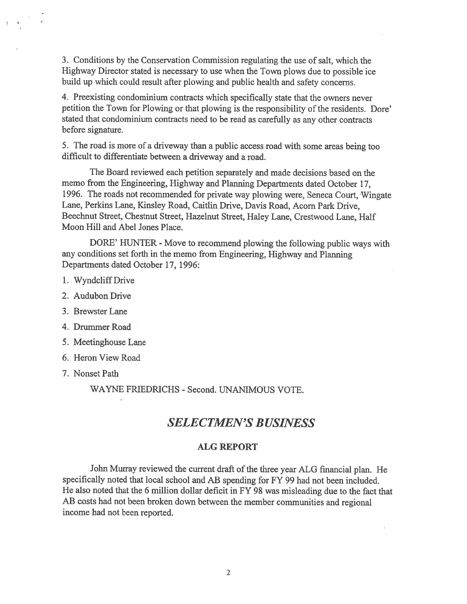3. Conditions by the Conservation Commission regulating the use of salt, which the Highway Director stated is necessary to use when the Town <sup>p</sup>lows due to possible ice build up which could result after <sup>p</sup>lowing and public health and safety concerns.

4. Preexisting condominium contracts which specifically state that the owners never petition the Town for Plowing or that <sup>p</sup>lowing is the responsibility of the residents. Dore' stated that condominium contracts need to be read as carefully as any other contracts before signature.

5. The road is more of <sup>a</sup> driveway than <sup>a</sup> public access road with some areas being too difficult to differentiate between <sup>a</sup> driveway and <sup>a</sup> road.

The Board reviewed each petition separately and made decisions based on the memo from the Engineering, Highway and Planning Departments dated October 17, 1996. The roads not recommended for private way <sup>p</sup>lowing were, Seneca Court, Wingate Lane, Perkins Lane, Kinsley Road, Caitlin Drive, Davis Road, Acorn Park Drive, Beechnut Street, Chestnut Street, Hazelnut Street, Haley Lane, Crestwood Lane, Half Moon Hill and Abel Jones Place.

DORE' HUNTER - Move to recommend plowing the following public ways with any conditions set forth in the memo from Engineering, Highway and Planning Departments dated October 17, 1996:

- 1. Wyndcliff Drive
- 2. Audubon Drive
- 3. Brewster Lane
- 4. Drummer Road
- 5. Meetinghouse Lane
- 6. Heron View Road
- 7. Nonset Path

WAYNE FRIEDRICHS - Second. UNANIMOUS VOTE.

# SELECTMEN'S BUSINESS

#### ALG REPORT

John Murray reviewed the current draft of the three year ALG financial <sup>p</sup>lan. He specifically noted that local school and AB spending for FY 99 had not been included. He also noted that the <sup>6</sup> million dollar deficit in fY <sup>98</sup> was misleading due to the fact that AB costs had not been broken down between the member communities and regional income had not been reported.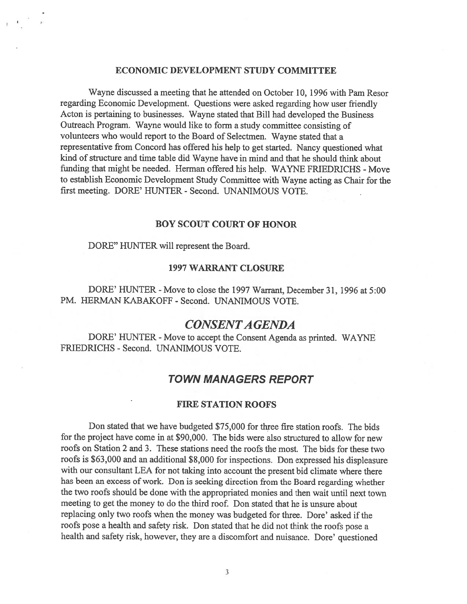#### ECONOMIC DEVELOPMENT STUDY COMMITTEE

Wayne discussed <sup>a</sup> meeting that he attended on October 10, 1996 with Pam Resor regarding Economic Development. Questions were asked regarding how user friendly Acton is pertaining to businesses. Wayne stated that Bill had developed the Business Outreach Program. Wayne would like to form <sup>a</sup> study committee consisting of volunteers who would repor<sup>t</sup> to the Board of Selectmen. Wayne stated that <sup>a</sup> representative from Concord has offered his help to ge<sup>t</sup> started. Nancy questioned what kind of structure and time table did Wayne have in mind and that he should think about funding that might be needed. Herman offered his help. WAYNE FRIEDRICHS - Move to establish Economic Development Study Committee with Wayne acting as Chair for the first meeting. DORE' HUNTER - Second. UNANIMOUS VOTE.

#### BOY SCOUT COURT OF HONOR

#### DORE" HUNTER will represen<sup>t</sup> the Board.

#### 1997 WARRANT CLOSURE

DORE' HUNTER - Move to close the 1997 Warrant, December 31, 1996 at 5:00 PM. HERMAN KABAKOFF - Second. UNANIMOUS VOTE.

## CONSENTA GENDA

DORE' HUNTER - Move to accept the Consent Agenda as printed. WAYNE FRIEDRICHS - Second. UNANIMOUS VOTE.

## TOWN MANAGERS REPORT

#### FIRE STATION ROOFS

Don stated that we have budgeted \$75,000 for three fire station roofs. The bids for the project have come in at \$90,000. The bids were also structured to allow for new roofs on Station 2 and 3. These stations need the roofs the most. The bids for these two roofs is \$63,000 and an additional \$8,000 for inspections. Don expresse<sup>d</sup> his displeasure with our consultant LEA for not taking into account the presen<sup>t</sup> bid climate where there has been an excess of work. Don is seeking direction from the Board regarding whether the two roofs should be done with the appropriated monies and then wait until next town meeting to ge<sup>t</sup> the money to do the third roof. Don stated that he is unsure about replacing only two roofs when the money was budgeted for three. Dore' asked if the roofs pose <sup>a</sup> health and safety risk. Don stated that he did not think the roofs pose <sup>a</sup> health and safety risk, however, they are <sup>a</sup> discomfort and nuisance. Dore' questioned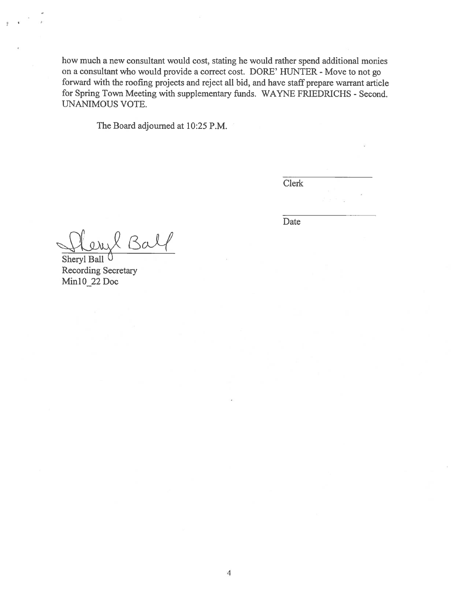how much <sup>a</sup> new consultant would cost, stating he would rather spend additional monies on a consultant who would provide a correct cost. DORE' HUNTER - Move to not go forward with the roofing projects and reject all bid, and have staff prepare warrant article for Spring Town Meeting with supplementary funds. WAYNE FRIEDRICHS - Second. UNANIMOUS VOTE.

The Board adjourned at 10:25 P.M.

Clerk

Date

Ba

Sheryl Ball Recording Secretary Min10\_22 Doc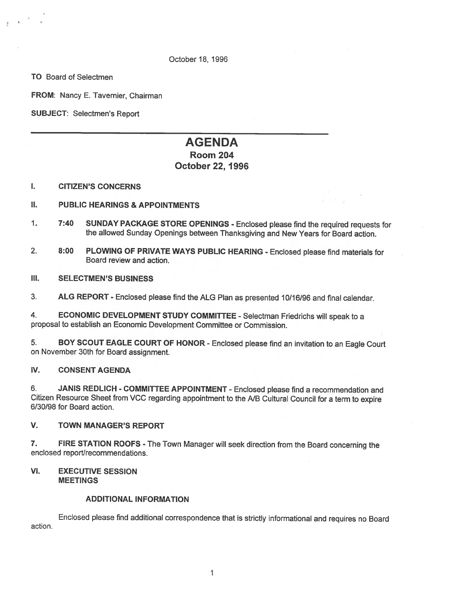#### October18, 1996

TO Board of Selectmen

FROM: Nancy E. Tavernier, Chairman

SUBJECT: Selectmen's Report

# AGENDA

### Room 204 October 22, 1996

#### I. CITIZEN'S CONCERNS

#### II. PUBLIC HEARINGS & APPOINTMENTS

- 1. 7:40 SUNDAY PACKAGE STORE OPENINGS Enclosed please find the required requests for the allowed Sunday Openings between Thanksgiving and New Years for Board action.
- 2. 8:00 PLOWING OF PRIVATE WAYS PUBLIC HEARING Enclosed please find materials for Board review and action.

#### III. SELECTMEN'S BUSINESS

3. ALG REPORT - Enclosed <sup>p</sup>lease find the ALG Plan as presented 10/16/96 and final calendar.

4. ECONOMIC DEVELOPMENT STUDY COMMITTEE - Selectman Friedrichs will speak to a proposal to establish an Economic Development Committee or Commission.

5. BOY SCOUT EAGLE COURT OF HONOR - Enclosed <sup>p</sup>lease find an invitation to an Eagle Court on November 30th for Board assignment.

#### IV. CONSENT AGENDA

6. JANIS REDLICH - COMMITTEE APPOINTMENT - Enclosed please find a recommendation and Citizen Resource Sheet from VCC regarding appointment to the NB Cultural Council for <sup>a</sup> term to expire 6/30/98 for Board action.

#### V. TOWN MANAGER'S REPORT

7. FIRE STATION ROOFS - The Town Manager will seek direction from the Board concerning the enclosed report/recommendations.

#### VI. EXECUTIVE SESSION **MEETINGS**

#### ADDITIONAL INFORMATION

Enclosed <sup>p</sup>lease find additional correspondence that is strictly informational and requires no Board action.